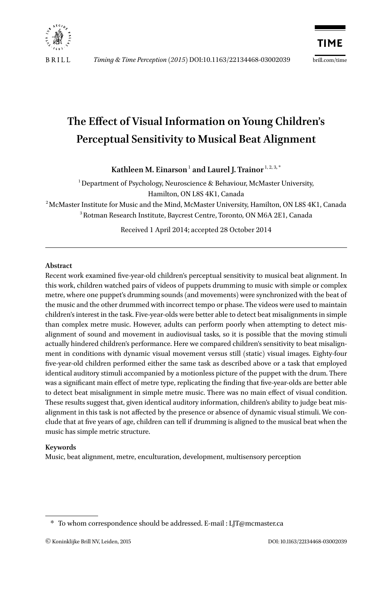

# **The Effect of Visual Information on Young Children's Perceptual Sensitivity to Musical Beat Alignment**

Kathleen M. Einarson<sup>1</sup> and Laurel J. Trainor<sup>1, 2, 3,</sup>  $^*$ 

<sup>1</sup> Department of Psychology, Neuroscience & Behaviour, McMaster University, Hamilton, ON L8S 4K1, Canada

2 McMaster Institute for Music and the Mind, McMaster University, Hamilton, ON L8S 4K1, Canada 3 Rotman Research Institute, Baycrest Centre, Toronto, ON M6A 2E1, Canada

Received 1 April 2014; accepted 28 October 2014

## **Abstract**

Recent work examined five-year-old children's perceptual sensitivity to musical beat alignment. In this work, children watched pairs of videos of puppets drumming to music with simple or complex metre, where one puppet's drumming sounds (and movements) were synchronized with the beat of the music and the other drummed with incorrect tempo or phase. The videos were used to maintain children's interest in the task. Five-year-olds were better able to detect beat misalignments in simple than complex metre music. However, adults can perform poorly when attempting to detect misalignment of sound and movement in audiovisual tasks, so it is possible that the moving stimuli actually hindered children's performance. Here we compared children's sensitivity to beat misalignment in conditions with dynamic visual movement versus still (static) visual images. Eighty-four five-year-old children performed either the same task as described above or a task that employed identical auditory stimuli accompanied by a motionless picture of the puppet with the drum. There was a significant main effect of metre type, replicating the finding that five-year-olds are better able to detect beat misalignment in simple metre music. There was no main effect of visual condition. These results suggest that, given identical auditory information, children's ability to judge beat misalignment in this task is not affected by the presence or absence of dynamic visual stimuli. We conclude that at five years of age, children can tell if drumming is aligned to the musical beat when the music has simple metric structure.

## **Keywords**

Music, beat alignment, metre, enculturation, development, multisensory perception

<sup>\*</sup> To whom correspondence should be addressed. E-mail : LJT@mcmaster.ca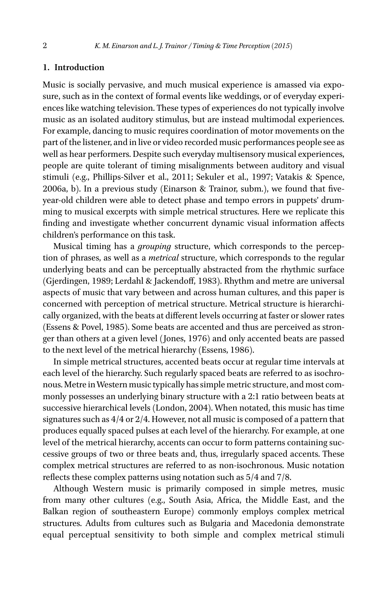# **1. Introduction**

Music is socially pervasive, and much musical experience is amassed via exposure, such as in the context of formal events like weddings, or of everyday experiences like watching television. These types of experiences do not typically involve music as an isolated auditory stimulus, but are instead multimodal experiences. For example, dancing to music requires coordination of motor movements on the part of the listener, and in live or video recorded music performances people see as well as hear performers. Despite such everyday multisensory musical experiences, people are quite tolerant of timing misalignments between auditory and visual stimuli (e.g., Phillips-Silver et al., 2011; Sekuler et al., 1997; Vatakis & Spence, 2006a, b). In a previous study (Einarson & Trainor, subm.), we found that fiveyear-old children were able to detect phase and tempo errors in puppets' drumming to musical excerpts with simple metrical structures. Here we replicate this finding and investigate whether concurrent dynamic visual information affects children's performance on this task.

Musical timing has a *grouping* structure, which corresponds to the perception of phrases, as well as a *metrical* structure, which corresponds to the regular underlying beats and can be perceptually abstracted from the rhythmic surface (Gjerdingen, 1989; Lerdahl & Jackendoff, 1983). Rhythm and metre are universal aspects of music that vary between and across human cultures, and this paper is concerned with perception of metrical structure. Metrical structure is hierarchically organized, with the beats at different levels occurring at faster or slower rates (Essens & Povel, 1985). Some beats are accented and thus are perceived as stronger than others at a given level (Jones, 1976) and only accented beats are passed to the next level of the metrical hierarchy (Essens, 1986).

In simple metrical structures, accented beats occur at regular time intervals at each level of the hierarchy. Such regularly spaced beats are referred to as isochronous. Metre in Western music typically has simple metric structure, and most commonly possesses an underlying binary structure with a 2:1 ratio between beats at successive hierarchical levels (London, 2004). When notated, this music has time signatures such as 4/4 or 2/4. However, not all music is composed of a pattern that produces equally spaced pulses at each level of the hierarchy. For example, at one level of the metrical hierarchy, accents can occur to form patterns containing successive groups of two or three beats and, thus, irregularly spaced accents. These complex metrical structures are referred to as non-isochronous. Music notation reflects these complex patterns using notation such as 5/4 and 7/8.

Although Western music is primarily composed in simple metres, music from many other cultures (e.g., South Asia, Africa, the Middle East, and the Balkan region of southeastern Europe) commonly employs complex metrical structures. Adults from cultures such as Bulgaria and Macedonia demonstrate equal perceptual sensitivity to both simple and complex metrical stimuli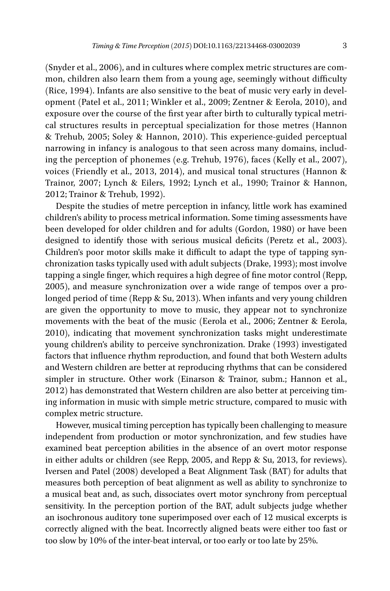(Snyder et al., 2006), and in cultures where complex metric structures are common, children also learn them from a young age, seemingly without difficulty (Rice, 1994). Infants are also sensitive to the beat of music very early in development (Patel et al., 2011; Winkler et al., 2009; Zentner & Eerola, 2010), and exposure over the course of the first year after birth to culturally typical metrical structures results in perceptual specialization for those metres (Hannon & Trehub, 2005; Soley & Hannon, 2010). This experience-guided perceptual narrowing in infancy is analogous to that seen across many domains, including the perception of phonemes (e.g. Trehub, 1976), faces (Kelly et al., 2007), voices (Friendly et al., 2013, 2014), and musical tonal structures (Hannon & Trainor, 2007; Lynch & Eilers, 1992; Lynch et al., 1990; Trainor & Hannon, 2012; Trainor & Trehub, 1992).

Despite the studies of metre perception in infancy, little work has examined children's ability to process metrical information. Some timing assessments have been developed for older children and for adults (Gordon, 1980) or have been designed to identify those with serious musical deficits (Peretz et al., 2003). Children's poor motor skills make it difficult to adapt the type of tapping synchronization tasks typically used with adult subjects (Drake, 1993); most involve tapping a single finger, which requires a high degree of fine motor control (Repp, 2005), and measure synchronization over a wide range of tempos over a prolonged period of time (Repp & Su, 2013). When infants and very young children are given the opportunity to move to music, they appear not to synchronize movements with the beat of the music (Eerola et al., 2006; Zentner & Eerola, 2010), indicating that movement synchronization tasks might underestimate young children's ability to perceive synchronization. Drake (1993) investigated factors that influence rhythm reproduction, and found that both Western adults and Western children are better at reproducing rhythms that can be considered simpler in structure. Other work (Einarson & Trainor, subm.; Hannon et al., 2012) has demonstrated that Western children are also better at perceiving timing information in music with simple metric structure, compared to music with complex metric structure.

However, musical timing perception has typically been challenging to measure independent from production or motor synchronization, and few studies have examined beat perception abilities in the absence of an overt motor response in either adults or children (see Repp, 2005, and Repp & Su, 2013, for reviews). Iversen and Patel (2008) developed a Beat Alignment Task (BAT) for adults that measures both perception of beat alignment as well as ability to synchronize to a musical beat and, as such, dissociates overt motor synchrony from perceptual sensitivity. In the perception portion of the BAT, adult subjects judge whether an isochronous auditory tone superimposed over each of 12 musical excerpts is correctly aligned with the beat. Incorrectly aligned beats were either too fast or too slow by 10% of the inter-beat interval, or too early or too late by 25%.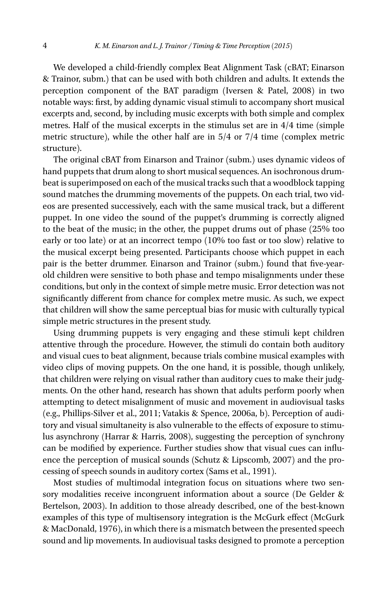We developed a child-friendly complex Beat Alignment Task (cBAT; Einarson & Trainor, subm.) that can be used with both children and adults. It extends the perception component of the BAT paradigm (Iversen & Patel, 2008) in two notable ways: first, by adding dynamic visual stimuli to accompany short musical excerpts and, second, by including music excerpts with both simple and complex metres. Half of the musical excerpts in the stimulus set are in 4/4 time (simple metric structure), while the other half are in 5/4 or 7/4 time (complex metric structure).

The original cBAT from Einarson and Trainor (subm.) uses dynamic videos of hand puppets that drum along to short musical sequences. An isochronous drumbeat is superimposed on each of the musical tracks such that a woodblock tapping sound matches the drumming movements of the puppets. On each trial, two videos are presented successively, each with the same musical track, but a different puppet. In one video the sound of the puppet's drumming is correctly aligned to the beat of the music; in the other, the puppet drums out of phase (25% too early or too late) or at an incorrect tempo (10% too fast or too slow) relative to the musical excerpt being presented. Participants choose which puppet in each pair is the better drummer. Einarson and Trainor (subm.) found that five-yearold children were sensitive to both phase and tempo misalignments under these conditions, but only in the context of simple metre music. Error detection was not significantly different from chance for complex metre music. As such, we expect that children will show the same perceptual bias for music with culturally typical simple metric structures in the present study.

Using drumming puppets is very engaging and these stimuli kept children attentive through the procedure. However, the stimuli do contain both auditory and visual cues to beat alignment, because trials combine musical examples with video clips of moving puppets. On the one hand, it is possible, though unlikely, that children were relying on visual rather than auditory cues to make their judgments. On the other hand, research has shown that adults perform poorly when attempting to detect misalignment of music and movement in audiovisual tasks (e.g., Phillips-Silver et al., 2011; Vatakis & Spence, 2006a, b). Perception of auditory and visual simultaneity is also vulnerable to the effects of exposure to stimulus asynchrony (Harrar & Harris, 2008), suggesting the perception of synchrony can be modified by experience. Further studies show that visual cues can influence the perception of musical sounds (Schutz & Lipscomb, 2007) and the processing of speech sounds in auditory cortex (Sams et al., 1991).

Most studies of multimodal integration focus on situations where two sensory modalities receive incongruent information about a source (De Gelder & Bertelson, 2003). In addition to those already described, one of the best-known examples of this type of multisensory integration is the McGurk effect (McGurk & MacDonald, 1976), in which there is a mismatch between the presented speech sound and lip movements. In audiovisual tasks designed to promote a perception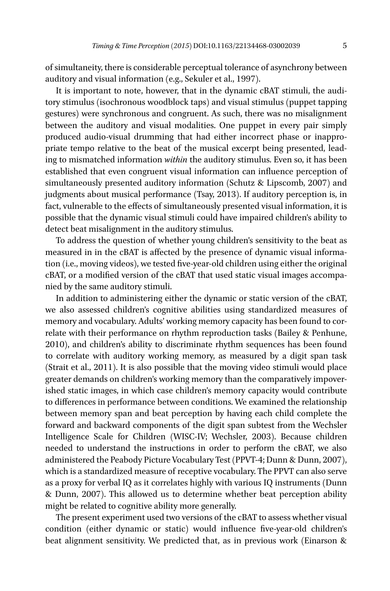of simultaneity, there is considerable perceptual tolerance of asynchrony between auditory and visual information (e.g., Sekuler et al., 1997).

It is important to note, however, that in the dynamic cBAT stimuli, the auditory stimulus (isochronous woodblock taps) and visual stimulus (puppet tapping gestures) were synchronous and congruent. As such, there was no misalignment between the auditory and visual modalities. One puppet in every pair simply produced audio-visual drumming that had either incorrect phase or inappropriate tempo relative to the beat of the musical excerpt being presented, leading to mismatched information *within* the auditory stimulus. Even so, it has been established that even congruent visual information can influence perception of simultaneously presented auditory information (Schutz & Lipscomb, 2007) and judgments about musical performance (Tsay, 2013). If auditory perception is, in fact, vulnerable to the effects of simultaneously presented visual information, it is possible that the dynamic visual stimuli could have impaired children's ability to detect beat misalignment in the auditory stimulus.

To address the question of whether young children's sensitivity to the beat as measured in in the cBAT is affected by the presence of dynamic visual information (i.e., moving videos), we tested five-year-old children using either the original cBAT, or a modified version of the cBAT that used static visual images accompanied by the same auditory stimuli.

In addition to administering either the dynamic or static version of the cBAT, we also assessed children's cognitive abilities using standardized measures of memory and vocabulary. Adults' working memory capacity has been found to correlate with their performance on rhythm reproduction tasks (Bailey & Penhune, 2010), and children's ability to discriminate rhythm sequences has been found to correlate with auditory working memory, as measured by a digit span task (Strait et al., 2011). It is also possible that the moving video stimuli would place greater demands on children's working memory than the comparatively impoverished static images, in which case children's memory capacity would contribute to differences in performance between conditions. We examined the relationship between memory span and beat perception by having each child complete the forward and backward components of the digit span subtest from the Wechsler Intelligence Scale for Children (WISC-IV; Wechsler, 2003). Because children needed to understand the instructions in order to perform the cBAT, we also administered the Peabody Picture Vocabulary Test (PPVT-4; Dunn & Dunn, 2007), which is a standardized measure of receptive vocabulary. The PPVT can also serve as a proxy for verbal IQ as it correlates highly with various IQ instruments (Dunn & Dunn, 2007). This allowed us to determine whether beat perception ability might be related to cognitive ability more generally.

The present experiment used two versions of the cBAT to assess whether visual condition (either dynamic or static) would influence five-year-old children's beat alignment sensitivity. We predicted that, as in previous work (Einarson &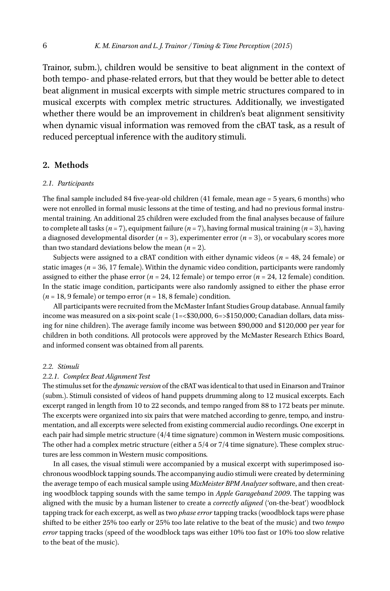Trainor, subm.), children would be sensitive to beat alignment in the context of both tempo- and phase-related errors, but that they would be better able to detect beat alignment in musical excerpts with simple metric structures compared to in musical excerpts with complex metric structures. Additionally, we investigated whether there would be an improvement in children's beat alignment sensitivity when dynamic visual information was removed from the cBAT task, as a result of reduced perceptual inference with the auditory stimuli.

# **2. Methods**

#### *2.1. Participants*

The final sample included 84 five-year-old children (41 female, mean age = 5 years, 6 months) who were not enrolled in formal music lessons at the time of testing, and had no previous formal instrumental training. An additional 25 children were excluded from the final analyses because of failure to complete all tasks (*n* = 7), equipment failure (*n =* 7), having formal musical training (*n* = 3), having a diagnosed developmental disorder  $(n = 3)$ , experimenter error  $(n = 3)$ , or vocabulary scores more than two standard deviations below the mean  $(n = 2)$ .

Subjects were assigned to a cBAT condition with either dynamic videos ( $n = 48$ , 24 female) or static images ( $n = 36$ , 17 female). Within the dynamic video condition, participants were randomly assigned to either the phase error ( $n = 24$ , 12 female) or tempo error ( $n = 24$ , 12 female) condition. In the static image condition, participants were also randomly assigned to either the phase error  $(n = 18, 9$  female) or tempo error  $(n = 18, 8$  female) condition.

All participants were recruited from the McMaster Infant Studies Group database. Annual family income was measured on a six-point scale (1=<\$30,000, 6=>\$150,000; Canadian dollars, data missing for nine children). The average family income was between \$90,000 and \$120,000 per year for children in both conditions. All protocols were approved by the McMaster Research Ethics Board, and informed consent was obtained from all parents.

### *2.2. Stimuli*

### *2.2.1. Complex Beat Alignment Test*

The stimulus set for the *dynamic version* of the cBAT was identical to that used in Einarson and Trainor (subm.). Stimuli consisted of videos of hand puppets drumming along to 12 musical excerpts. Each excerpt ranged in length from 10 to 22 seconds, and tempo ranged from 88 to 172 beats per minute. The excerpts were organized into six pairs that were matched according to genre, tempo, and instrumentation, and all excerpts were selected from existing commercial audio recordings. One excerpt in each pair had simple metric structure (4/4 time signature) common in Western music compositions. The other had a complex metric structure (either a 5/4 or 7/4 time signature). These complex structures are less common in Western music compositions.

In all cases, the visual stimuli were accompanied by a musical excerpt with superimposed isochronous woodblock tapping sounds. The accompanying audio stimuli were created by determining the average tempo of each musical sample using *MixMeister BPM Analyzer* software, and then creating woodblock tapping sounds with the same tempo in *Apple Garageband 2009*. The tapping was aligned with the music by a human listener to create a *correctly aligned* ('on-the-beat') woodblock tapping track for each excerpt, as well as two *phase error* tapping tracks (woodblock taps were phase shifted to be either 25% too early or 25% too late relative to the beat of the music) and two *tempo error* tapping tracks (speed of the woodblock taps was either 10% too fast or 10% too slow relative to the beat of the music).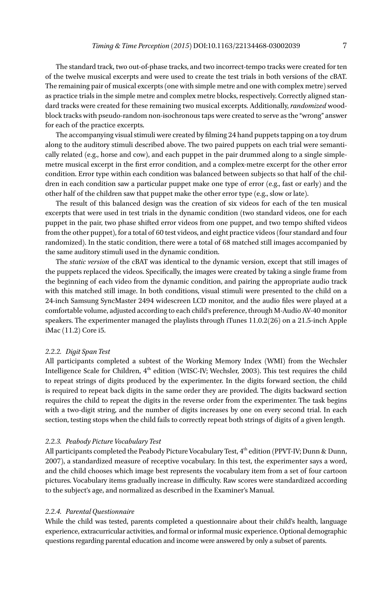The standard track, two out-of-phase tracks, and two incorrect-tempo tracks were created for ten of the twelve musical excerpts and were used to create the test trials in both versions of the cBAT. The remaining pair of musical excerpts (one with simple metre and one with complex metre) served as practice trials in the simple metre and complex metre blocks, respectively. Correctly aligned standard tracks were created for these remaining two musical excerpts. Additionally, *randomized* woodblock tracks with pseudo-random non-isochronous taps were created to serve as the "wrong" answer for each of the practice excerpts.

The accompanying visual stimuli were created by filming 24 hand puppets tapping on a toy drum along to the auditory stimuli described above. The two paired puppets on each trial were semantically related (e.g., horse and cow), and each puppet in the pair drummed along to a single simplemetre musical excerpt in the first error condition, and a complex-metre excerpt for the other error condition. Error type within each condition was balanced between subjects so that half of the children in each condition saw a particular puppet make one type of error (e.g., fast or early) and the other half of the children saw that puppet make the other error type (e.g., slow or late).

The result of this balanced design was the creation of six videos for each of the ten musical excerpts that were used in test trials in the dynamic condition (two standard videos, one for each puppet in the pair, two phase shifted error videos from one puppet, and two tempo shifted videos from the other puppet), for a total of 60 test videos, and eight practice videos (four standard and four randomized). In the static condition, there were a total of 68 matched still images accompanied by the same auditory stimuli used in the dynamic condition.

The *static version* of the cBAT was identical to the dynamic version, except that still images of the puppets replaced the videos. Specifically, the images were created by taking a single frame from the beginning of each video from the dynamic condition, and pairing the appropriate audio track with this matched still image. In both conditions, visual stimuli were presented to the child on a 24-inch Samsung SyncMaster 2494 widescreen LCD monitor, and the audio files were played at a comfortable volume, adjusted according to each child's preference, through M-Audio AV-40 monitor speakers. The experimenter managed the playlists through iTunes 11.0.2(26) on a 21.5-inch Apple iMac (11.2) Core i5.

## *2.2.2. Digit Span Test*

All participants completed a subtest of the Working Memory Index (WMI) from the Wechsler Intelligence Scale for Children,  $4<sup>th</sup>$  edition (WISC-IV; Wechsler, 2003). This test requires the child to repeat strings of digits produced by the experimenter. In the digits forward section, the child is required to repeat back digits in the same order they are provided. The digits backward section requires the child to repeat the digits in the reverse order from the experimenter. The task begins with a two-digit string, and the number of digits increases by one on every second trial. In each section, testing stops when the child fails to correctly repeat both strings of digits of a given length.

#### *2.2.3. Peabody Picture Vocabulary Test*

All participants completed the Peabody Picture Vocabulary Test,  $4^{th}$  edition (PPVT-IV; Dunn & Dunn, 2007), a standardized measure of receptive vocabulary. In this test, the experimenter says a word, and the child chooses which image best represents the vocabulary item from a set of four cartoon pictures. Vocabulary items gradually increase in difficulty. Raw scores were standardized according to the subject's age, and normalized as described in the Examiner's Manual.

#### *2.2.4. Parental Questionnaire*

While the child was tested, parents completed a questionnaire about their child's health, language experience, extracurricular activities, and formal or informal music experience. Optional demographic questions regarding parental education and income were answered by only a subset of parents.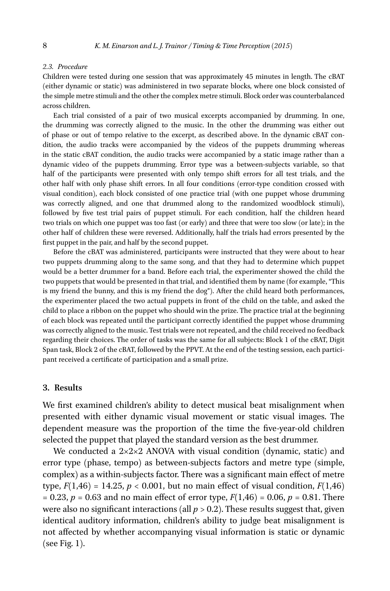## *2.3. Procedure*

Children were tested during one session that was approximately 45 minutes in length. The cBAT (either dynamic or static) was administered in two separate blocks, where one block consisted of the simple metre stimuli and the other the complex metre stimuli. Block order was counterbalanced across children.

Each trial consisted of a pair of two musical excerpts accompanied by drumming. In one, the drumming was correctly aligned to the music. In the other the drumming was either out of phase or out of tempo relative to the excerpt, as described above. In the dynamic cBAT condition, the audio tracks were accompanied by the videos of the puppets drumming whereas in the static cBAT condition, the audio tracks were accompanied by a static image rather than a dynamic video of the puppets drumming. Error type was a between-subjects variable, so that half of the participants were presented with only tempo shift errors for all test trials, and the other half with only phase shift errors. In all four conditions (error-type condition crossed with visual condition), each block consisted of one practice trial (with one puppet whose drumming was correctly aligned, and one that drummed along to the randomized woodblock stimuli), followed by five test trial pairs of puppet stimuli. For each condition, half the children heard two trials on which one puppet was too fast (or early) and three that were too slow (or late); in the other half of children these were reversed. Additionally, half the trials had errors presented by the first puppet in the pair, and half by the second puppet.

Before the cBAT was administered, participants were instructed that they were about to hear two puppets drumming along to the same song, and that they had to determine which puppet would be a better drummer for a band. Before each trial, the experimenter showed the child the two puppets that would be presented in that trial, and identified them by name (for example, "This is my friend the bunny, and this is my friend the dog"). After the child heard both performances, the experimenter placed the two actual puppets in front of the child on the table, and asked the child to place a ribbon on the puppet who should win the prize. The practice trial at the beginning of each block was repeated until the participant correctly identified the puppet whose drumming was correctly aligned to the music. Test trials were not repeated, and the child received no feedback regarding their choices. The order of tasks was the same for all subjects: Block 1 of the cBAT, Digit Span task, Block 2 of the cBAT, followed by the PPVT. At the end of the testing session, each participant received a certificate of participation and a small prize.

# **3. Results**

We first examined children's ability to detect musical beat misalignment when presented with either dynamic visual movement or static visual images. The dependent measure was the proportion of the time the five-year-old children selected the puppet that played the standard version as the best drummer.

We conducted a 2×2×2 ANOVA with visual condition (dynamic, static) and error type (phase, tempo) as between-subjects factors and metre type (simple, complex) as a within-subjects factor. There was a significant main effect of metre type,  $F(1,46) = 14.25, p < 0.001$ , but no main effect of visual condition,  $F(1,46)$  $= 0.23, p = 0.63$  and no main effect of error type,  $F(1,46) = 0.06, p = 0.81$ . There were also no significant interactions (all  $p > 0.2$ ). These results suggest that, given identical auditory information, children's ability to judge beat misalignment is not affected by whether accompanying visual information is static or dynamic (see Fig. 1).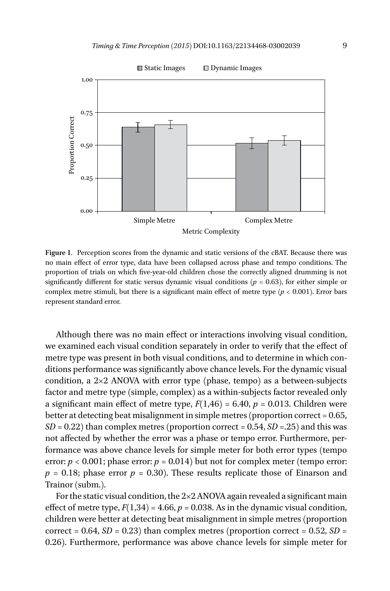

**Figure 1**. Perception scores from the dynamic and static versions of the cBAT. Because there was no main effect of error type, data have been collapsed across phase and tempo conditions. The proportion of trials on which five-year-old children chose the correctly aligned drumming is not significantly different for static versus dynamic visual conditions ( $p = 0.63$ ), for either simple or complex metre stimuli, but there is a significant main effect of metre type (*p* < 0.001). Error bars represent standard error.

Although there was no main effect or interactions involving visual condition, we examined each visual condition separately in order to verify that the effect of metre type was present in both visual conditions, and to determine in which conditions performance was significantly above chance levels. For the dynamic visual condition, a 2×2 ANOVA with error type (phase, tempo) as a between-subjects factor and metre type (simple, complex) as a within-subjects factor revealed only a significant main effect of metre type,  $F(1,46) = 6.40$ ,  $p = 0.013$ . Children were better at detecting beat misalignment in simple metres (proportion correct = 0.65,  $SD = 0.22$ ) than complex metres (proportion correct = 0.54,  $SD = 0.25$ ) and this was not affected by whether the error was a phase or tempo error. Furthermore, performance was above chance levels for simple meter for both error types (tempo error:  $p < 0.001$ ; phase error:  $p = 0.014$ ) but not for complex meter (tempo error:  $p = 0.18$ ; phase error  $p = 0.30$ ). These results replicate those of Einarson and Trainor (subm.).

For the static visual condition, the  $2\times 2$  ANOVA again revealed a significant main effect of metre type,  $F(1,34) = 4.66$ ,  $p = 0.038$ . As in the dynamic visual condition, children were better at detecting beat misalignment in simple metres (proportion correct =  $0.64$ ,  $SD = 0.23$ ) than complex metres (proportion correct =  $0.52$ ,  $SD =$ 0.26). Furthermore, performance was above chance levels for simple meter for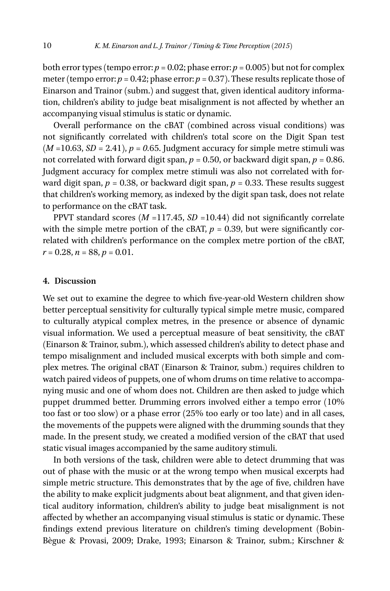both error types (tempo error:  $p = 0.02$ ; phase error:  $p = 0.005$ ) but not for complex meter (tempo error:  $p = 0.42$ ; phase error:  $p = 0.37$ ). These results replicate those of Einarson and Trainor (subm.) and suggest that, given identical auditory information, children's ability to judge beat misalignment is not affected by whether an accompanying visual stimulus is static or dynamic.

Overall performance on the cBAT (combined across visual conditions) was not significantly correlated with children's total score on the Digit Span test  $(M=10.63, SD = 2.41)$ ,  $p = 0.65$ . Judgment accuracy for simple metre stimuli was not correlated with forward digit span,  $p = 0.50$ , or backward digit span,  $p = 0.86$ . Judgment accuracy for complex metre stimuli was also not correlated with forward digit span,  $p = 0.38$ , or backward digit span,  $p = 0.33$ . These results suggest that children's working memory, as indexed by the digit span task, does not relate to performance on the cBAT task.

PPVT standard scores  $(M = 117.45, SD = 10.44)$  did not significantly correlate with the simple metre portion of the cBAT,  $p = 0.39$ , but were significantly correlated with children's performance on the complex metre portion of the cBAT,  $r = 0.28, n = 88, p = 0.01$ .

## **4. Discussion**

We set out to examine the degree to which five-year-old Western children show better perceptual sensitivity for culturally typical simple metre music, compared to culturally atypical complex metres, in the presence or absence of dynamic visual information. We used a perceptual measure of beat sensitivity, the cBAT (Einarson & Trainor, subm.), which assessed children's ability to detect phase and tempo misalignment and included musical excerpts with both simple and complex metres. The original cBAT (Einarson & Trainor, subm.) requires children to watch paired videos of puppets, one of whom drums on time relative to accompanying music and one of whom does not. Children are then asked to judge which puppet drummed better. Drumming errors involved either a tempo error (10% too fast or too slow) or a phase error (25% too early or too late) and in all cases, the movements of the puppets were aligned with the drumming sounds that they made. In the present study, we created a modified version of the cBAT that used static visual images accompanied by the same auditory stimuli.

In both versions of the task, children were able to detect drumming that was out of phase with the music or at the wrong tempo when musical excerpts had simple metric structure. This demonstrates that by the age of five, children have the ability to make explicit judgments about beat alignment, and that given identical auditory information, children's ability to judge beat misalignment is not affected by whether an accompanying visual stimulus is static or dynamic. These findings extend previous literature on children's timing development (Bobin-Bègue & Provasi, 2009; Drake, 1993; Einarson & Trainor, subm.; Kirschner &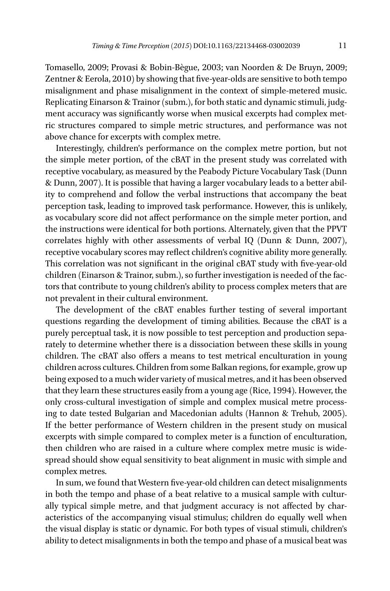Tomasello, 2009; Provasi & Bobin-Bègue, 2003; van Noorden & De Bruyn, 2009; Zentner & Eerola, 2010) by showing that five-year-olds are sensitive to both tempo misalignment and phase misalignment in the context of simple-metered music. Replicating Einarson & Trainor (subm.), for both static and dynamic stimuli, judgment accuracy was significantly worse when musical excerpts had complex metric structures compared to simple metric structures, and performance was not above chance for excerpts with complex metre.

Interestingly, children's performance on the complex metre portion, but not the simple meter portion, of the cBAT in the present study was correlated with receptive vocabulary, as measured by the Peabody Picture Vocabulary Task (Dunn & Dunn, 2007). It is possible that having a larger vocabulary leads to a better ability to comprehend and follow the verbal instructions that accompany the beat perception task, leading to improved task performance. However, this is unlikely, as vocabulary score did not affect performance on the simple meter portion, and the instructions were identical for both portions. Alternately, given that the PPVT correlates highly with other assessments of verbal IQ (Dunn & Dunn, 2007), receptive vocabulary scores may reflect children's cognitive ability more generally. This correlation was not significant in the original cBAT study with five-year-old children (Einarson & Trainor, subm.), so further investigation is needed of the factors that contribute to young children's ability to process complex meters that are not prevalent in their cultural environment.

The development of the cBAT enables further testing of several important questions regarding the development of timing abilities. Because the cBAT is a purely perceptual task, it is now possible to test perception and production separately to determine whether there is a dissociation between these skills in young children. The cBAT also offers a means to test metrical enculturation in young children across cultures. Children from some Balkan regions, for example, grow up being exposed to a much wider variety of musical metres, and it has been observed that they learn these structures easily from a young age (Rice, 1994). However, the only cross-cultural investigation of simple and complex musical metre processing to date tested Bulgarian and Macedonian adults (Hannon & Trehub, 2005). If the better performance of Western children in the present study on musical excerpts with simple compared to complex meter is a function of enculturation, then children who are raised in a culture where complex metre music is widespread should show equal sensitivity to beat alignment in music with simple and complex metres.

In sum, we found that Western five-year-old children can detect misalignments in both the tempo and phase of a beat relative to a musical sample with culturally typical simple metre, and that judgment accuracy is not affected by characteristics of the accompanying visual stimulus; children do equally well when the visual display is static or dynamic. For both types of visual stimuli, children's ability to detect misalignments in both the tempo and phase of a musical beat was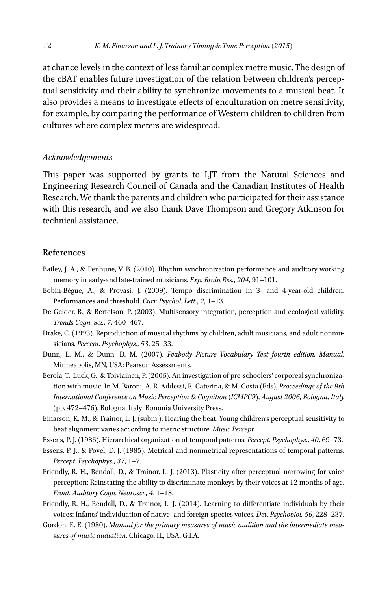at chance levels in the context of less familiar complex metre music. The design of the cBAT enables future investigation of the relation between children's perceptual sensitivity and their ability to synchronize movements to a musical beat. It also provides a means to investigate effects of enculturation on metre sensitivity, for example, by comparing the performance of Western children to children from cultures where complex meters are widespread.

## *Acknowledgements*

This paper was supported by grants to LJT from the Natural Sciences and Engineering Research Council of Canada and the Canadian Institutes of Health Research. We thank the parents and children who participated for their assistance with this research, and we also thank Dave Thompson and Gregory Atkinson for technical assistance.

# **References**

- Bailey, J. A., & Penhune, V. B. (2010). Rhythm synchronization performance and auditory working memory in early-and late-trained musicians. *Exp. Brain Res.*, *204*, 91–101.
- Bobin-Bègue, A., & Provasi, J. (2009). Tempo discrimination in 3- and 4-year-old children: Performances and threshold. *Curr. Psychol. Lett.*, *2*, 1–13.
- De Gelder, B., & Bertelson, P. (2003). Multisensory integration, perception and ecological validity. *Trends Cogn. Sci.*, *7*, 460–467.
- Drake, C. (1993). Reproduction of musical rhythms by children, adult musicians, and adult nonmusicians. *Percept. Psychophys.*, *53*, 25–33.
- Dunn, L. M., & Dunn, D. M. (2007). *Peabody Picture Vocabulary Test fourth edition, Manual*. Minneapolis, MN, USA: Pearson Assessments.
- Eerola, T., Luck, G., & Toiviainen, P. (2006). An investigation of pre-schoolers' corporeal synchronization with music. In M. Baroni, A. R. Addessi, R. Caterina, & M. Costa (Eds), *Proceedings of the 9th International Conference on Music Perception & Cognition (ICMPC9)*, *August 2006, Bologna, Italy* (pp. 472–476). Bologna, Italy: Bononia University Press.
- Einarson, K. M., & Trainor, L. J. (subm.). Hearing the beat: Young children's perceptual sensitivity to beat alignment varies according to metric structure. *Music Percept.*
- Essens, P. J. (1986). Hierarchical organization of temporal patterns. *Percept. Psychophys*., *40*, 69–73.
- Essens, P. J., & Povel, D. J. (1985). Metrical and nonmetrical representations of temporal patterns. *Percept. Psychophys.*, *37*, 1–7.
- Friendly, R. H., Rendall, D., & Trainor, L. J. (2013). Plasticity after perceptual narrowing for voice perception: Reinstating the ability to discriminate monkeys by their voices at 12 months of age. *Front. Auditory Cogn. Neurosci., 4*, 1–18.
- Friendly, R. H., Rendall, D., & Trainor, L. J. (2014). Learning to differentiate individuals by their voices: Infants' individuation of native- and foreign-species voices. *Dev. Psychobiol. 56*, 228–237.
- Gordon, E. E. (1980). *Manual for the primary measures of music audition and the intermediate measures of music audiation*. Chicago, IL, USA: G.I.A.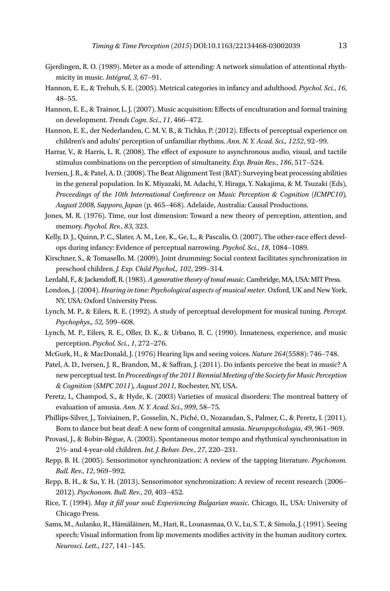- Gjerdingen, R. O. (1989). Meter as a mode of attending: A network simulation of attentional rhythmicity in music. *Intégral*, *3*, 67–91.
- Hannon, E. E., & Trehub, S. E. (2005). Metrical categories in infancy and adulthood. *Psychol. Sci.*, *16*, 48–55.
- Hannon, E. E., & Trainor, L. J. (2007). Music acquisition: Effects of enculturation and formal training on development. *Trends Cogn. Sci.*, *11*, 466–472.
- Hannon, E. E., der Nederlanden, C. M. V. B., & Tichko, P. (2012). Effects of perceptual experience on children's and adults' perception of unfamiliar rhythms. *Ann. N. Y. Acad. Sci., 1252*, 92–99.
- Harrar, V., & Harris, L. R. (2008). The effect of exposure to asynchronous audio, visual, and tactile stimulus combinations on the perception of simultaneity. *Exp. Brain Res.*, *186*, 517–524.
- Iversen, J. R., & Patel, A. D. (2008). The Beat Alignment Test (BAT): Surveying beat processing abilities in the general population. In K. Miyazaki, M. Adachi, Y. Hiraga, Y. Nakajima, & M. Tsuzaki (Eds), *Proceedings of the 10th International Conference on Music Perception & Cognition (ICMPC10), August 2008, Sapporo, Japan* (p. 465–468)*.* Adelaide, Australia: Causal Productions.
- Jones, M. R. (1976). Time, our lost dimension: Toward a new theory of perception, attention, and memory. *Psychol. Rev.*, *83*, 323.
- Kelly, D. J., Quinn, P. C., Slater, A. M., Lee, K., Ge, L., & Pascalis, O. (2007). The other-race effect develops during infancy: Evidence of perceptual narrowing. *Psychol. Sci.*, *18*, 1084–1089.
- Kirschner, S., & Tomasello, M. (2009). Joint drumming: Social context facilitates synchronization in preschool children. *J. Exp. Child Psychol., 102*, 299–314.
- Lerdahl, F., & Jackendoff, R. (1983). *A generative theory of tonal music*. Cambridge, MA, USA: MIT Press.
- London, J. (2004). *Hearing in time: Psychological aspects of musical meter*. Oxford, UK and New York, NY, USA: Oxford University Press.
- Lynch, M. P., & Eilers, R. E. (1992). A study of perceptual development for musical tuning. *Percept. Psychophys., 52,* 599–608.
- Lynch, M. P., Eilers, R. E., Oller, D. K., & Urbano, R. C. (1990). Innateness, experience, and music perception. *Psychol. Sci.*, *1*, 272–276.
- McGurk, H., & MacDonald, J. (1976) Hearing lips and seeing voices. *Nature 264*(5588): 746–748.
- Patel, A. D., Iversen, J. R., Brandon, M., & Saffran, J. (2011). Do infants perceive the beat in music? A new perceptual test. In *Proceedings of the 2011 Biennial Meeting of the Society for Music Perception & Cognition (SMPC 2011), August 2011,* Rochester, NY, USA.
- Peretz, I., Champod, S., & Hyde, K. (2003) Varieties of musical disorders: The montreal battery of evaluation of amusia. *Ann. N. Y. Acad. Sci.*, *999*, 58–75.
- Phillips-Silver, J., Toiviainen, P., Gosselin, N., Piché, O., Nozaradan, S., Palmer, C., & Peretz, I. (2011). Born to dance but beat deaf: A new form of congenital amusia. *Neuropsychologia*, *49*, 961–969.
- Provasi, J., & Bobin-Bègue, A. (2003). Spontaneous motor tempo and rhythmical synchronisation in 2½- and 4-year-old children. *Int. J. Behav. Dev.*, *27*, 220–231.
- Repp, B. H. (2005). Sensorimotor synchronization: A review of the tapping literature. *Psychonom. Bull. Rev.*, *12*, 969–992.
- Repp, B. H., & Su, Y. H. (2013). Sensorimotor synchronization: A review of recent research (2006– 2012). *Psychonom. Bull. Rev.*, *20*, 403–452.
- Rice, T. (1994). *May it fill your soul: Experiencing Bulgarian music*. Chicago, IL, USA: University of Chicago Press.
- Sams, M., Aulanko, R., Hämäläinen, M., Hari, R., Lounasmaa, O. V., Lu, S. T., & Simola, J. (1991). Seeing speech: Visual information from lip movements modifies activity in the human auditory cortex. *Neurosci. Lett.*, *127*, 141–145.